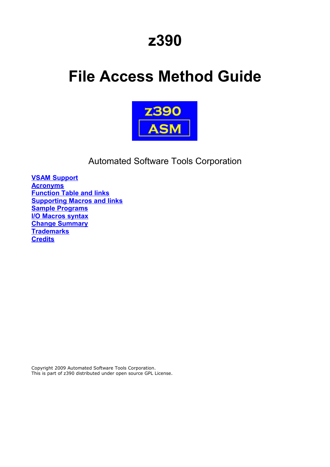# **z390**

# **File Access Method Guide**



Automated Software Tools Corporation

**[VSAM Support](#page-1-0) [Acronyms](#page-1-1) [Function Table and links](#page-2-2) [Supporting Macros and links](#page-2-1) [Sample Programs](#page-2-0) [I/O Macros syntax](#page-11-0) [Change Summary](#page-17-2) [Trademarks](#page-17-1) [Credits](#page-17-0)**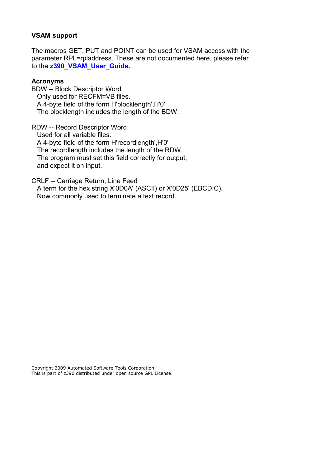#### <span id="page-1-0"></span>**VSAM support**

The macros GET, PUT and POINT can be used for VSAM access with the parameter RPL=rpladdress. These are not documented here, please refer to the **[z390\\_VSAM\\_User\\_Guide.](http://www.z390.org/z390_VSAM_User_Guide.pdf)**

#### <span id="page-1-1"></span>**Acronyms**

BDW -- Block Descriptor Word Only used for RECFM=VB files. A 4-byte field of the form H'blocklength',H'0' The blocklength includes the length of the BDW.

RDW -- Record Descriptor Word Used for all variable files. A 4-byte field of the form H'recordlength',H'0' The recordlength includes the length of the RDW. The program must set this field correctly for output, and expect it on input.

CRLF -- Carriage Return, Line Feed

 A term for the hex string X'0D0A' (ASCII) or X'0D25' (EBCDIC). Now commonly used to terminate a text record.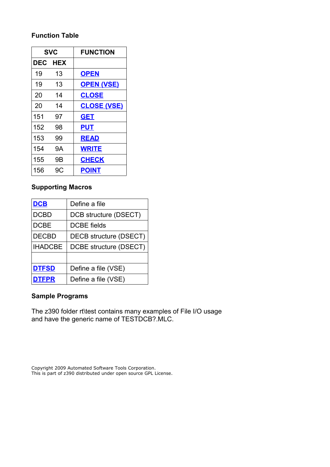## <span id="page-2-2"></span>**Function Table**

| <b>SVC</b> |            | <b>FUNCTION</b>    |
|------------|------------|--------------------|
| <b>DEC</b> | <b>HEX</b> |                    |
| 19         | 13         | <b>OPEN</b>        |
| 19         | 13         | <b>OPEN (VSE)</b>  |
| 20         | 14         | <b>CLOSE</b>       |
| 20         | 14         | <b>CLOSE (VSE)</b> |
| 151        | 97         | <b>GET</b>         |
| 152        | 98         | <b>PUT</b>         |
| 153        | 99         | <b>READ</b>        |
| 154        | 9Α         | <b>WRITE</b>       |
| 155        | 9Β         | <b>CHECK</b>       |
| 156        | 9C         | <b>POINT</b>       |

## <span id="page-2-1"></span>**Supporting Macros**

| <b>DCB</b>     | Define a file          |
|----------------|------------------------|
| <b>DCBD</b>    | DCB structure (DSECT)  |
| <b>DCBE</b>    | <b>DCBE</b> fields     |
| <b>DECBD</b>   | DECB structure (DSECT) |
| <b>IHADCBE</b> | DCBE structure (DSECT) |
|                |                        |
| <b>DTFSD</b>   | Define a file (VSE)    |
| <b>DTFPR</b>   | Define a file (VSE)    |

## <span id="page-2-0"></span>**Sample Programs**

The z390 folder rt\test contains many examples of File I/O usage and have the generic name of TESTDCB?.MLC.

Copyright 2009 Automated Software Tools Corporation. This is part of z390 distributed under open source GPL License.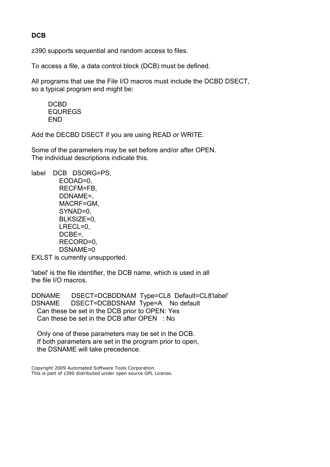### <span id="page-3-0"></span>**DCB**

z390 supports sequential and random access to files.

To access a file, a data control block (DCB) must be defined.

All programs that use the File I/O macros must include the DCBD DSECT, so a typical program end might be:

 DCBD EQUREGS END

Add the DECBD DSECT if you are using READ or WRITE.

Some of the parameters may be set before and/or after OPEN. The individual descriptions indicate this.

label DCB DSORG=PS, EODAD=0, RECFM=FB, DDNAME=, MACRF=GM, SYNAD=0, BLKSIZE=0, LRECL=0, DCBE=, RECORD=0, DSNAME=0

EXLST is currently unsupported.

'label' is the file identifier, the DCB name, which is used in all the file I/O macros.

DDNAME DSECT=DCBDDNAM Type=CL8 Default=CL8'label' DSNAME DSECT=DCBDSNAM Type=A No default Can these be set in the DCB prior to OPEN: Yes Can these be set in the DCB after OPEN : No

 Only one of these parameters may be set in the DCB. If both parameters are set in the program prior to open, the DSNAME will take precedence.

Copyright 2009 Automated Software Tools Corporation. This is part of z390 distributed under open source GPL License.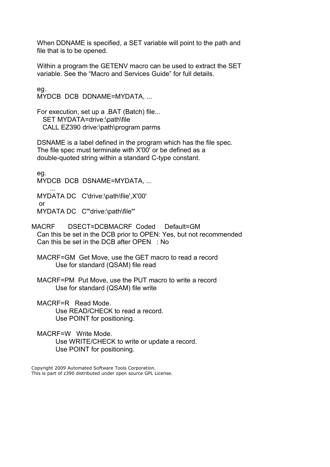When DDNAME is specified, a SET variable will point to the path and file that is to be opened.

 Within a program the GETENV macro can be used to extract the SET variable. See the "Macro and Services Guide" for full details.

 eg. MYDCB DCB DDNAME=MYDATA, ...

 For execution, set up a .BAT (Batch) file... SET MYDATA=drive:\path\file CALL EZ390 drive:\path\program parms

 DSNAME is a label defined in the program which has the file spec. The file spec must terminate with X'00' or be defined as a double-quoted string within a standard C-type constant.

 eg. MYDCB DCB DSNAME=MYDATA, ... ...

MYDATA DC C'drive:\path\file',X'00'

MYDATA DC C'"drive:\path\file"'

or

MACRF DSECT=DCBMACRF Coded Default=GM Can this be set in the DCB prior to OPEN: Yes, but not recommended Can this be set in the DCB after OPEN : No

 MACRF=GM Get Move, use the GET macro to read a record Use for standard (QSAM) file read

 MACRF=PM Put Move, use the PUT macro to write a record Use for standard (QSAM) file write

 MACRF=R Read Mode. Use READ/CHECK to read a record. Use POINT for positioning.

 MACRF=W Write Mode. Use WRITE/CHECK to write or update a record. Use POINT for positioning.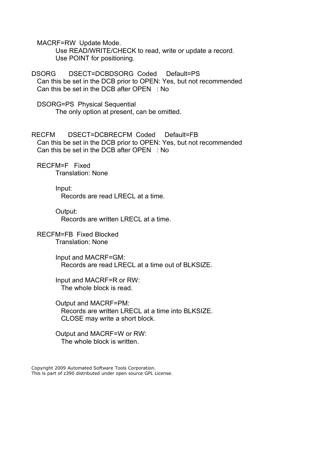MACRF=RW Update Mode. Use READ/WRITE/CHECK to read, write or update a record. Use POINT for positioning.

DSORG DSECT=DCBDSORG Coded Default=PS Can this be set in the DCB prior to OPEN: Yes, but not recommended Can this be set in the DCB after OPEN : No

 DSORG=PS Physical Sequential The only option at present, can be omitted.

RECFM DSECT=DCBRECFM Coded Default=FB Can this be set in the DCB prior to OPEN: Yes, but not recommended Can this be set in the DCB after OPEN : No

 RECFM=F Fixed Translation: None

> Input: Records are read LRECL at a time.

 Output: Records are written LRECL at a time.

 RECFM=FB Fixed Blocked Translation: None

> Input and MACRF=GM: Records are read LRECL at a time out of BLKSIZE.

 Input and MACRF=R or RW: The whole block is read.

 Output and MACRF=PM: Records are written LRECL at a time into BLKSIZE. CLOSE may write a short block.

 Output and MACRF=W or RW: The whole block is written.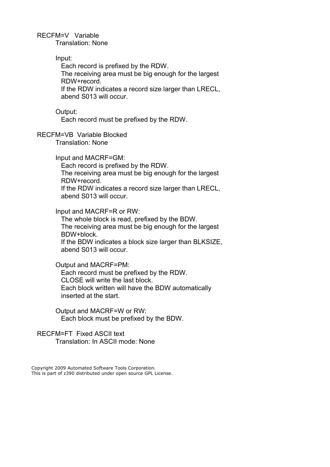RECFM=V Variable

Translation: None

#### Input:

Each record is prefixed by the RDW.

 The receiving area must be big enough for the largest RDW+record.

 If the RDW indicates a record size larger than LRECL, abend S013 will occur.

#### Output:

Each record must be prefixed by the RDW.

## RECFM=VB Variable Blocked

Translation: None

Input and MACRF=GM:

Each record is prefixed by the RDW.

 The receiving area must be big enough for the largest RDW+record.

 If the RDW indicates a record size larger than LRECL, abend S013 will occur.

Input and MACRF=R or RW:

 The whole block is read, prefixed by the BDW. The receiving area must be big enough for the largest BDW+block.

 If the BDW indicates a block size larger than BLKSIZE, abend S013 will occur.

#### Output and MACRF=PM:

 Each record must be prefixed by the RDW. CLOSE will write the last block. Each block written will have the BDW automatically inserted at the start.

 Output and MACRF=W or RW: Each block must be prefixed by the BDW.

 RECFM=FT Fixed ASCII text Translation: In ASCII mode: None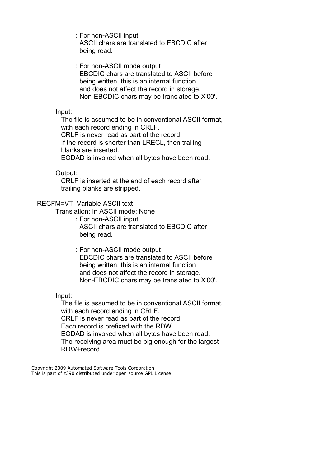: For non-ASCII input ASCII chars are translated to EBCDIC after being read.

 : For non-ASCII mode output EBCDIC chars are translated to ASCII before being written, this is an internal function and does not affect the record in storage. Non-EBCDIC chars may be translated to X'00'.

#### Input:

 The file is assumed to be in conventional ASCII format, with each record ending in CRLF.

CRLF is never read as part of the record.

 If the record is shorter than LRECL, then trailing blanks are inserted.

EODAD is invoked when all bytes have been read.

Output:

 CRLF is inserted at the end of each record after trailing blanks are stripped.

#### RECFM=VT Variable ASCII text

Translation: In ASCII mode: None

: For non-ASCII input

 ASCII chars are translated to EBCDIC after being read.

 : For non-ASCII mode output EBCDIC chars are translated to ASCII before being written, this is an internal function and does not affect the record in storage. Non-EBCDIC chars may be translated to X'00'.

Input:

 The file is assumed to be in conventional ASCII format, with each record ending in CRLF. CRLF is never read as part of the record. Each record is prefixed with the RDW. EODAD is invoked when all bytes have been read. The receiving area must be big enough for the largest RDW+record.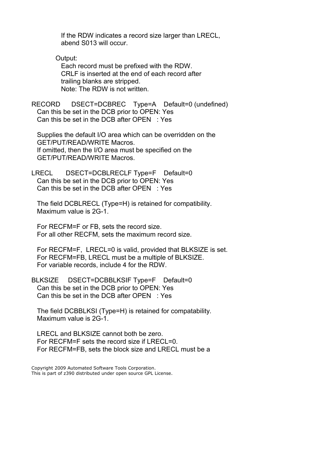If the RDW indicates a record size larger than LRECL, abend S013 will occur.

Output:

 Each record must be prefixed with the RDW. CRLF is inserted at the end of each record after trailing blanks are stripped. Note: The RDW is not written.

RECORD DSECT=DCBREC Type=A Default=0 (undefined) Can this be set in the DCB prior to OPEN: Yes Can this be set in the DCB after OPEN : Yes

 Supplies the default I/O area which can be overridden on the GET/PUT/READ/WRITE Macros. If omitted, then the I/O area must be specified on the GET/PUT/READ/WRITE Macros.

LRECL DSECT=DCBLRECLF Type=F Default=0 Can this be set in the DCB prior to OPEN: Yes Can this be set in the DCB after OPEN : Yes

 The field DCBLRECL (Type=H) is retained for compatibility. Maximum value is 2G-1.

 For RECFM=F or FB, sets the record size. For all other RECFM, sets the maximum record size.

 For RECFM=F, LRECL=0 is valid, provided that BLKSIZE is set. For RECFM=FB, LRECL must be a multiple of BLKSIZE. For variable records, include 4 for the RDW.

BLKSIZE DSECT=DCBBLKSIF Type=F Default=0 Can this be set in the DCB prior to OPEN: Yes Can this be set in the DCB after OPEN : Yes

 The field DCBBLKSI (Type=H) is retained for compatability. Maximum value is 2G-1.

 LRECL and BLKSIZE cannot both be zero. For RECFM=F sets the record size if LRECL=0. For RECFM=FB, sets the block size and LRECL must be a

Copyright 2009 Automated Software Tools Corporation. This is part of z390 distributed under open source GPL License.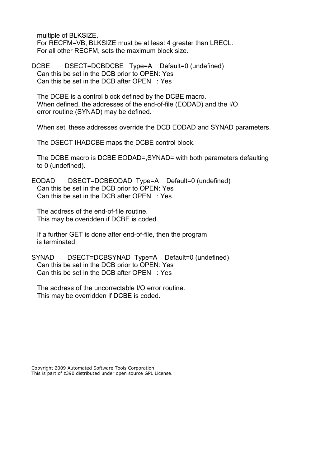multiple of BLKSIZE. For RECFM=VB, BLKSIZE must be at least 4 greater than LRECL. For all other RECFM, sets the maximum block size.

DCBE DSECT=DCBDCBE Type=A Default=0 (undefined) Can this be set in the DCB prior to OPEN: Yes Can this be set in the DCB after OPEN : Yes

 The DCBE is a control block defined by the DCBE macro. When defined, the addresses of the end-of-file (EODAD) and the I/O error routine (SYNAD) may be defined.

When set, these addresses override the DCB EODAD and SYNAD parameters.

The DSECT IHADCBE maps the DCBE control block.

 The DCBE macro is DCBE EODAD=,SYNAD= with both parameters defaulting to 0 (undefined).

EODAD DSECT=DCBEODAD Type=A Default=0 (undefined) Can this be set in the DCB prior to OPEN: Yes Can this be set in the DCB after OPEN : Yes

 The address of the end-of-file routine. This may be overidden if DCBE is coded.

 If a further GET is done after end-of-file, then the program is terminated.

SYNAD DSECT=DCBSYNAD Type=A Default=0 (undefined) Can this be set in the DCB prior to OPEN: Yes Can this be set in the DCB after OPEN : Yes

 The address of the uncorrectable I/O error routine. This may be overridden if DCBE is coded.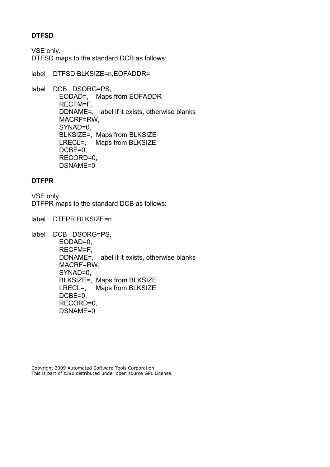## <span id="page-10-1"></span>**DTFSD**

VSE only.

DTFSD maps to the standard DCB as follows:

```
label DTFSD BLKSIZE=n,EOFADDR=
```
label DCB DSORG=PS, EODAD=, Maps from EOFADDR RECFM=F, DDNAME=, label if it exists, otherwise blanks MACRF=RW, SYNAD=0, BLKSIZE=, Maps from BLKSIZE LRECL=, Maps from BLKSIZE DCBE=0. RECORD=0, DSNAME=0

## <span id="page-10-0"></span>**DTFPR**

```
VSE only.
DTFPR maps to the standard DCB as follows:
```
label DTFPR BLKSIZE=n

label DCB DSORG=PS, EODAD=0, RECFM=F, DDNAME=, label if it exists, otherwise blanks MACRF=RW, SYNAD=0, BLKSIZE=, Maps from BLKSIZE LRECL=, Maps from BLKSIZE DCBE=0. RECORD=0, DSNAME=0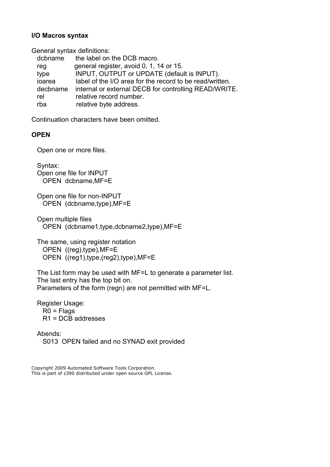#### <span id="page-11-0"></span>**I/O Macros syntax**

General syntax definitions:

| dcbname  | the label on the DCB macro.                              |
|----------|----------------------------------------------------------|
| reg      | general register, avoid 0, 1, 14 or 15.                  |
| type     | INPUT, OUTPUT or UPDATE (default is INPUT).              |
| ioarea   | label of the I/O area for the record to be read/written. |
| decbname | internal or external DECB for controlling READ/WRITE.    |
| rel      | relative record number.                                  |
| rba      | relative byte address.                                   |

Continuation characters have been omitted.

## <span id="page-11-1"></span>**OPEN**

Open one or more files.

 Syntax: Open one file for INPUT OPEN dcbname,MF=E

 Open one file for non-INPUT OPEN (dcbname,type),MF=E

 Open multiple files OPEN (dcbname1,type,dcbname2,type),MF=E

 The same, using register notation OPEN ((reg),type),MF=E OPEN ((reg1),type,(reg2),type),MF=E

 The List form may be used with MF=L to generate a parameter list. The last entry has the top bit on. Parameters of the form (regn) are not permitted with MF=L.

 Register Usage: R0 = Flags R1 = DCB addresses

 Abends: S013 OPEN failed and no SYNAD exit provided

Copyright 2009 Automated Software Tools Corporation. This is part of z390 distributed under open source GPL License.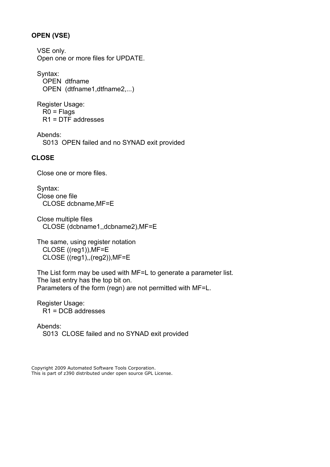## <span id="page-12-1"></span>**OPEN (VSE)**

 VSE only. Open one or more files for UPDATE.

 Syntax: OPEN dtfname OPEN (dtfname1,dtfname2,...)

 Register Usage: R0 = Flags R1 = DTF addresses

 Abends: S013 OPEN failed and no SYNAD exit provided

## <span id="page-12-0"></span>**CLOSE**

Close one or more files.

 Syntax: Close one file CLOSE dcbname,MF=E

 Close multiple files CLOSE (dcbname1,,dcbname2),MF=E

 The same, using register notation CLOSE ((reg1)),MF=E CLOSE ((reg1),,(reg2)),MF=E

 The List form may be used with MF=L to generate a parameter list. The last entry has the top bit on. Parameters of the form (regn) are not permitted with MF=L.

 Register Usage: R1 = DCB addresses

 Abends: S013 CLOSE failed and no SYNAD exit provided

Copyright 2009 Automated Software Tools Corporation. This is part of z390 distributed under open source GPL License.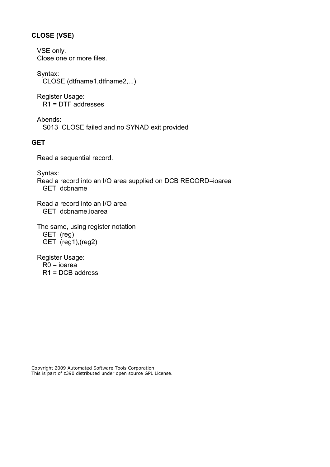## <span id="page-13-1"></span>**CLOSE (VSE)**

 VSE only. Close one or more files.

 Syntax: CLOSE (dtfname1,dtfname2,...)

 Register Usage: R1 = DTF addresses

 Abends: S013 CLOSE failed and no SYNAD exit provided

## <span id="page-13-0"></span>**GET**

Read a sequential record.

Syntax:

 Read a record into an I/O area supplied on DCB RECORD=ioarea GET dcbname

 Read a record into an I/O area GET dcbname,ioarea

 The same, using register notation GET (reg) GET (reg1),(reg2)

 Register Usage: R0 = ioarea R1 = DCB address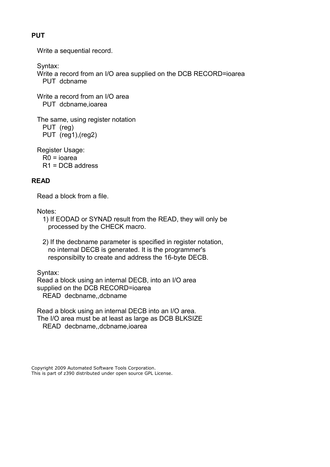## <span id="page-14-1"></span>**PUT**

Write a sequential record.

Syntax:

 Write a record from an I/O area supplied on the DCB RECORD=ioarea PUT dcbname

 Write a record from an I/O area PUT dcbname,ioarea

 The same, using register notation PUT (reg) PUT (reg1),(reg2)

 Register Usage: R0 = ioarea

R1 = DCB address

## <span id="page-14-0"></span>**READ**

Read a block from a file.

Notes:

- 1) If EODAD or SYNAD result from the READ, they will only be processed by the CHECK macro.
- 2) If the decbname parameter is specified in register notation, no internal DECB is generated. It is the programmer's responsibilty to create and address the 16-byte DECB.

Syntax:

 Read a block using an internal DECB, into an I/O area supplied on the DCB RECORD=ioarea READ decbname,,dcbname

 Read a block using an internal DECB into an I/O area. The I/O area must be at least as large as DCB BLKSIZE READ decbname,,dcbname,ioarea

Copyright 2009 Automated Software Tools Corporation. This is part of z390 distributed under open source GPL License.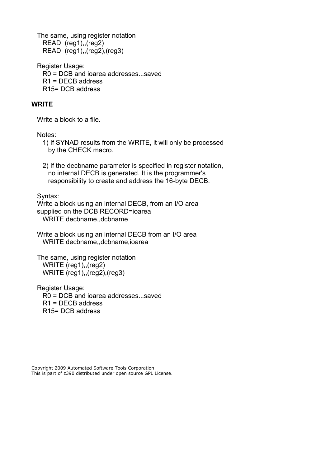The same, using register notation READ (reg1),,(reg2) READ (reg1),,(reg2),(reg3)

Register Usage: R0 = DCB and ioarea addresses...saved R1 = DECB address R15= DCB address

### <span id="page-15-0"></span>**WRITE**

Write a block to a file.

Notes:

- 1) If SYNAD results from the WRITE, it will only be processed by the CHECK macro.
- 2) If the decbname parameter is specified in register notation, no internal DECB is generated. It is the programmer's responsibility to create and address the 16-byte DECB.

Syntax:

 Write a block using an internal DECB, from an I/O area supplied on the DCB RECORD=ioarea WRITE decbname,,dcbname

 Write a block using an internal DECB from an I/O area WRITE decbname,,dcbname,ioarea

 The same, using register notation WRITE (reg1),,(reg2) WRITE (reg1),,(reg2),(reg3)

 Register Usage: R0 = DCB and ioarea addresses...saved R1 = DECB address R15= DCB address

Copyright 2009 Automated Software Tools Corporation. This is part of z390 distributed under open source GPL License.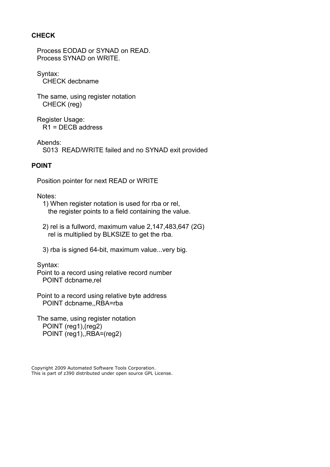## <span id="page-16-1"></span>**CHECK**

 Process EODAD or SYNAD on READ. Process SYNAD on WRITE.

 Syntax: CHECK decbname

 The same, using register notation CHECK (reg)

 Register Usage: R1 = DECB address

 Abends: S013 READ/WRITE failed and no SYNAD exit provided

#### <span id="page-16-0"></span>**POINT**

Position pointer for next READ or WRITE

#### Notes:

- 1) When register notation is used for rba or rel, the register points to a field containing the value.
- 2) rel is a fullword, maximum value 2,147,483,647 (2G) rel is multiplied by BLKSIZE to get the rba.
- 3) rba is signed 64-bit, maximum value...very big.

#### Syntax:

 Point to a record using relative record number POINT dcbname,rel

 The same, using register notation POINT (reg1),(reg2) POINT (reg1),,RBA=(reg2)

Point to a record using relative byte address POINT dcbname,,RBA=rba

Copyright 2009 Automated Software Tools Corporation. This is part of z390 distributed under open source GPL License.